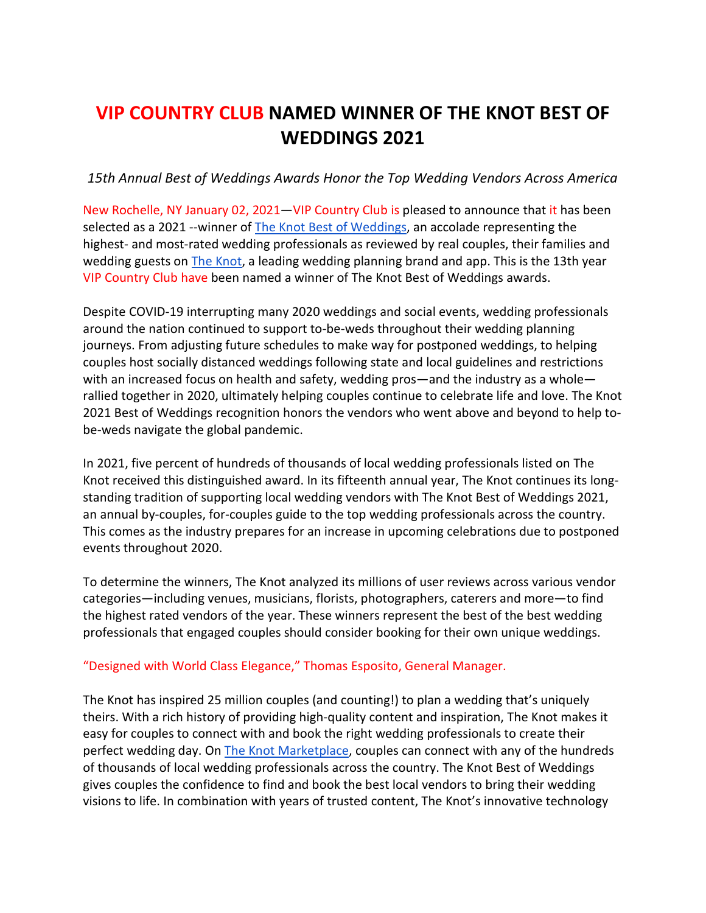# **VIP COUNTRY CLUB NAMED WINNER OF THE KNOT BEST OF WEDDINGS 2021**

## *15th Annual Best of Weddings Awards Honor the Top Wedding Vendors Across America*

New Rochelle, NY January 02, 2021—VIP Country Club is pleased to announce that it has been selected as a 2021 --winner of [The Knot Best of Weddings,](https://www.theknot.com/vendors/best-of-weddings) an accolade representing the highest- and most-rated wedding professionals as reviewed by real couples, their families and wedding guests on [The Knot,](http://www.theknot.com/) a leading wedding planning brand and app. This is the 13th year VIP Country Club have been named a winner of The Knot Best of Weddings awards.

Despite COVID-19 interrupting many 2020 weddings and social events, wedding professionals around the nation continued to support to-be-weds throughout their wedding planning journeys. From adjusting future schedules to make way for postponed weddings, to helping couples host socially distanced weddings following state and local guidelines and restrictions with an increased focus on health and safety, wedding pros—and the industry as a whole rallied together in 2020, ultimately helping couples continue to celebrate life and love. The Knot 2021 Best of Weddings recognition honors the vendors who went above and beyond to help tobe-weds navigate the global pandemic.

In 2021, five percent of hundreds of thousands of local wedding professionals listed on The Knot received this distinguished award. In its fifteenth annual year, The Knot continues its longstanding tradition of supporting local wedding vendors with The Knot Best of Weddings 2021, an annual by-couples, for-couples guide to the top wedding professionals across the country. This comes as the industry prepares for an increase in upcoming celebrations due to postponed events throughout 2020.

To determine the winners, The Knot analyzed its millions of user reviews across various vendor categories—including venues, musicians, florists, photographers, caterers and more—to find the highest rated vendors of the year. These winners represent the best of the best wedding professionals that engaged couples should consider booking for their own unique weddings.

## "Designed with World Class Elegance," Thomas Esposito, General Manager.

The Knot has inspired 25 million couples (and counting!) to plan a wedding that's uniquely theirs. With a rich history of providing high-quality content and inspiration, The Knot makes it easy for couples to connect with and book the right wedding professionals to create their perfect wedding day. O[n The Knot Marketplace,](https://www.theknot.com/marketplace) couples can connect with any of the hundreds of thousands of local wedding professionals across the country. The Knot Best of Weddings gives couples the confidence to find and book the best local vendors to bring their wedding visions to life. In combination with years of trusted content, The Knot's innovative technology